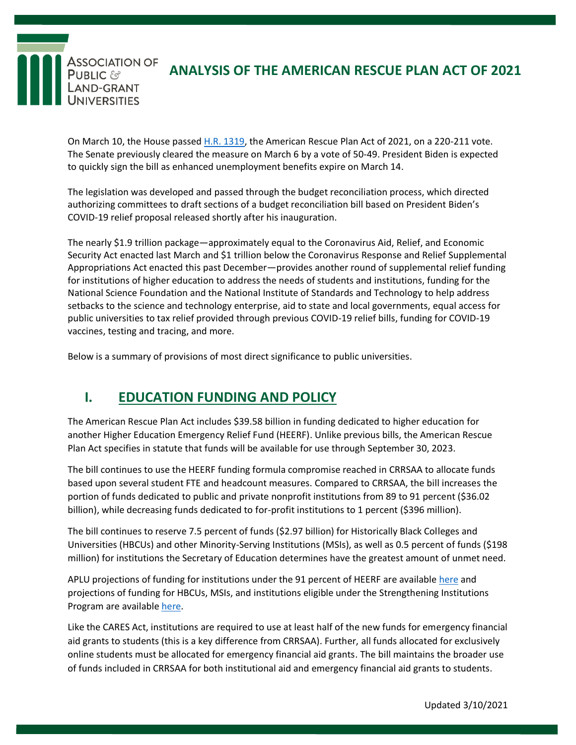

## **ANALYSIS OF THE AMERICAN RESCUE PLAN ACT OF 2021**

On March 10, the House passed H.R. [1319,](https://rules.house.gov/sites/democrats.rules.house.gov/files/BILLS-117HR1319EAS.pdf) the American Rescue Plan Act of 2021, on a 220-211 vote. The Senate previously cleared the measure on March 6 by a vote of 50-49. President Biden is expected to quickly sign the bill as enhanced unemployment benefits expire on March 14.

The legislation was developed and passed through the budget reconciliation process, which directed authorizing committees to draft sections of a budget reconciliation bill based on President Biden's COVID-19 relief proposal released shortly after his inauguration.

The nearly \$1.9 trillion package—approximately equal to the Coronavirus Aid, Relief, and Economic Security Act enacted last March and \$1 trillion below the Coronavirus Response and Relief Supplemental Appropriations Act enacted this past December—provides another round of supplemental relief funding for institutions of higher education to address the needs of students and institutions, funding for the National Science Foundation and the National Institute of Standards and Technology to help address setbacks to the science and technology enterprise, aid to state and local governments, equal access for public universities to tax relief provided through previous COVID-19 relief bills, funding for COVID-19 vaccines, testing and tracing, and more.

Below is a summary of provisions of most direct significance to public universities.

### **I. EDUCATION FUNDING AND POLICY**

The American Rescue Plan Act includes \$39.58 billion in funding dedicated to higher education for another Higher Education Emergency Relief Fund (HEERF). Unlike previous bills, the American Rescue Plan Act specifies in statute that funds will be available for use through September 30, 2023.

The bill continues to use the HEERF funding formula compromise reached in CRRSAA to allocate funds based upon several student FTE and headcount measures. Compared to CRRSAA, the bill increases the portion of funds dedicated to public and private nonprofit institutions from 89 to 91 percent (\$36.02 billion), while decreasing funds dedicated to for-profit institutions to 1 percent (\$396 million).

The bill continues to reserve 7.5 percent of funds (\$2.97 billion) for Historically Black Colleges and Universities (HBCUs) and other Minority-Serving Institutions (MSIs), as well as 0.5 percent of funds (\$198 million) for institutions the Secretary of Education determines have the greatest amount of unmet need.

APLU projections of funding for institutions under the 91 percent of HEERF are available [here](http://go.aplu.org/E0w0U0Q2RGc0T0jW2R00R0b) and projections of funding for HBCUs, MSIs, and institutions eligible under the Strengthening Institutions Program are available [here.](https://app.powerbi.com/view?r=eyJrIjoiNWI2YThiYzYtMTc1ZC00M2I5LTljYWQtM2YyYmNmYzYyYmMyIiwidCI6IjQ0NjhhZWU2LTQwNDItNDkyNC05ODVhLTk4N2EyYmIxNGUyMCIsImMiOjF9)

Like the CARES Act, institutions are required to use at least half of the new funds for emergency financial aid grants to students (this is a key difference from CRRSAA). Further, all funds allocated for exclusively online students must be allocated for emergency financial aid grants. The bill maintains the broader use of funds included in CRRSAA for both institutional aid and emergency financial aid grants to students.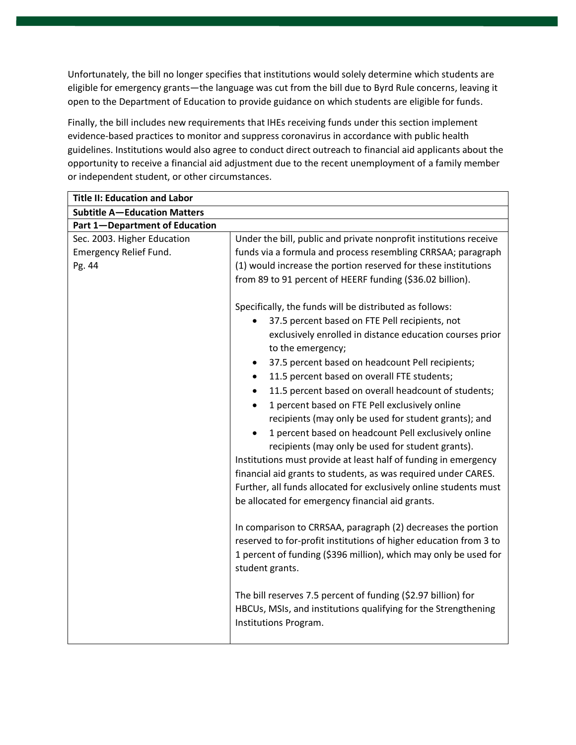Unfortunately, the bill no longer specifies that institutions would solely determine which students are eligible for emergency grants—the language was cut from the bill due to Byrd Rule concerns, leaving it open to the Department of Education to provide guidance on which students are eligible for funds.

Finally, the bill includes new requirements that IHEs receiving funds under this section implement evidence-based practices to monitor and suppress coronavirus in accordance with public health guidelines. Institutions would also agree to conduct direct outreach to financial aid applicants about the opportunity to receive a financial aid adjustment due to the recent unemployment of a family member or independent student, or other circumstances.

| <b>Title II: Education and Labor</b>                            |                                                                                                                                                                                                                                                                                                                                                                                                                                                                                                                                                                                                                                                                                                                                                                                                                                                                                                                                                                                                                                                                                                                                                                                                                                                                                                                                                                                                                                                                                             |
|-----------------------------------------------------------------|---------------------------------------------------------------------------------------------------------------------------------------------------------------------------------------------------------------------------------------------------------------------------------------------------------------------------------------------------------------------------------------------------------------------------------------------------------------------------------------------------------------------------------------------------------------------------------------------------------------------------------------------------------------------------------------------------------------------------------------------------------------------------------------------------------------------------------------------------------------------------------------------------------------------------------------------------------------------------------------------------------------------------------------------------------------------------------------------------------------------------------------------------------------------------------------------------------------------------------------------------------------------------------------------------------------------------------------------------------------------------------------------------------------------------------------------------------------------------------------------|
| <b>Subtitle A-Education Matters</b>                             |                                                                                                                                                                                                                                                                                                                                                                                                                                                                                                                                                                                                                                                                                                                                                                                                                                                                                                                                                                                                                                                                                                                                                                                                                                                                                                                                                                                                                                                                                             |
| Part 1-Department of Education                                  |                                                                                                                                                                                                                                                                                                                                                                                                                                                                                                                                                                                                                                                                                                                                                                                                                                                                                                                                                                                                                                                                                                                                                                                                                                                                                                                                                                                                                                                                                             |
| Sec. 2003. Higher Education<br>Emergency Relief Fund.<br>Pg. 44 | Under the bill, public and private nonprofit institutions receive<br>funds via a formula and process resembling CRRSAA; paragraph<br>(1) would increase the portion reserved for these institutions<br>from 89 to 91 percent of HEERF funding (\$36.02 billion).<br>Specifically, the funds will be distributed as follows:<br>37.5 percent based on FTE Pell recipients, not<br>exclusively enrolled in distance education courses prior<br>to the emergency;<br>37.5 percent based on headcount Pell recipients;<br>11.5 percent based on overall FTE students;<br>$\bullet$<br>11.5 percent based on overall headcount of students;<br>1 percent based on FTE Pell exclusively online<br>recipients (may only be used for student grants); and<br>1 percent based on headcount Pell exclusively online<br>recipients (may only be used for student grants).<br>Institutions must provide at least half of funding in emergency<br>financial aid grants to students, as was required under CARES.<br>Further, all funds allocated for exclusively online students must<br>be allocated for emergency financial aid grants.<br>In comparison to CRRSAA, paragraph (2) decreases the portion<br>reserved to for-profit institutions of higher education from 3 to<br>1 percent of funding (\$396 million), which may only be used for<br>student grants.<br>The bill reserves 7.5 percent of funding (\$2.97 billion) for<br>HBCUs, MSIs, and institutions qualifying for the Strengthening |
|                                                                 | Institutions Program.                                                                                                                                                                                                                                                                                                                                                                                                                                                                                                                                                                                                                                                                                                                                                                                                                                                                                                                                                                                                                                                                                                                                                                                                                                                                                                                                                                                                                                                                       |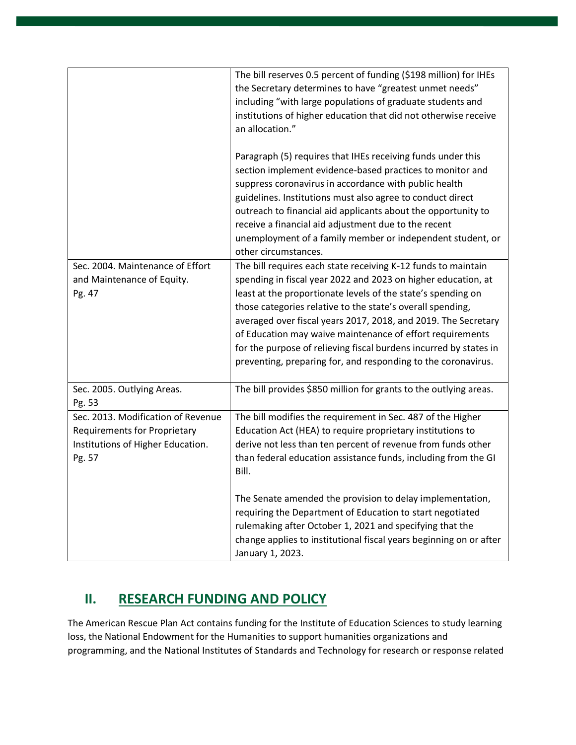|                                                                                                                   | The bill reserves 0.5 percent of funding (\$198 million) for IHEs<br>the Secretary determines to have "greatest unmet needs"<br>including "with large populations of graduate students and<br>institutions of higher education that did not otherwise receive<br>an allocation."                                                                                                                                                                                                                                                  |
|-------------------------------------------------------------------------------------------------------------------|-----------------------------------------------------------------------------------------------------------------------------------------------------------------------------------------------------------------------------------------------------------------------------------------------------------------------------------------------------------------------------------------------------------------------------------------------------------------------------------------------------------------------------------|
|                                                                                                                   | Paragraph (5) requires that IHEs receiving funds under this<br>section implement evidence-based practices to monitor and<br>suppress coronavirus in accordance with public health<br>guidelines. Institutions must also agree to conduct direct<br>outreach to financial aid applicants about the opportunity to<br>receive a financial aid adjustment due to the recent<br>unemployment of a family member or independent student, or<br>other circumstances.                                                                    |
| Sec. 2004. Maintenance of Effort<br>and Maintenance of Equity.<br>Pg. 47                                          | The bill requires each state receiving K-12 funds to maintain<br>spending in fiscal year 2022 and 2023 on higher education, at<br>least at the proportionate levels of the state's spending on<br>those categories relative to the state's overall spending,<br>averaged over fiscal years 2017, 2018, and 2019. The Secretary<br>of Education may waive maintenance of effort requirements<br>for the purpose of relieving fiscal burdens incurred by states in<br>preventing, preparing for, and responding to the coronavirus. |
| Sec. 2005. Outlying Areas.<br>Pg. 53                                                                              | The bill provides \$850 million for grants to the outlying areas.                                                                                                                                                                                                                                                                                                                                                                                                                                                                 |
| Sec. 2013. Modification of Revenue<br>Requirements for Proprietary<br>Institutions of Higher Education.<br>Pg. 57 | The bill modifies the requirement in Sec. 487 of the Higher<br>Education Act (HEA) to require proprietary institutions to<br>derive not less than ten percent of revenue from funds other<br>than federal education assistance funds, including from the GI<br>Bill.<br>The Senate amended the provision to delay implementation,<br>requiring the Department of Education to start negotiated                                                                                                                                    |
|                                                                                                                   | rulemaking after October 1, 2021 and specifying that the<br>change applies to institutional fiscal years beginning on or after<br>January 1, 2023.                                                                                                                                                                                                                                                                                                                                                                                |

# **II. RESEARCH FUNDING AND POLICY**

The American Rescue Plan Act contains funding for the Institute of Education Sciences to study learning loss, the National Endowment for the Humanities to support humanities organizations and programming, and the National Institutes of Standards and Technology for research or response related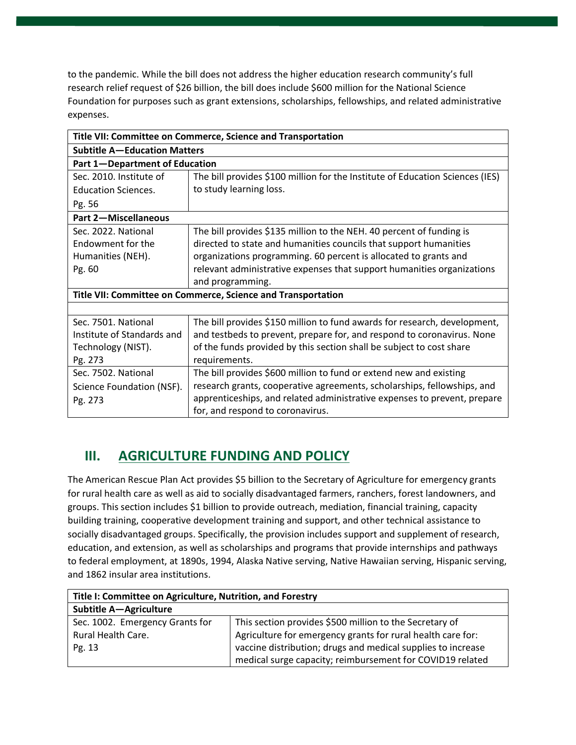to the pandemic. While the bill does not address the higher education research community's full research relief request of \$26 billion, the bill does include \$600 million for the National Science Foundation for purposes such as grant extensions, scholarships, fellowships, and related administrative expenses.

| Title VII: Committee on Commerce, Science and Transportation |                                                                               |
|--------------------------------------------------------------|-------------------------------------------------------------------------------|
| <b>Subtitle A-Education Matters</b>                          |                                                                               |
| Part 1-Department of Education                               |                                                                               |
| Sec. 2010. Institute of                                      | The bill provides \$100 million for the Institute of Education Sciences (IES) |
| <b>Education Sciences.</b>                                   | to study learning loss.                                                       |
| Pg. 56                                                       |                                                                               |
| <b>Part 2-Miscellaneous</b>                                  |                                                                               |
| Sec. 2022. National                                          | The bill provides \$135 million to the NEH. 40 percent of funding is          |
| Endowment for the                                            | directed to state and humanities councils that support humanities             |
| Humanities (NEH).                                            | organizations programming. 60 percent is allocated to grants and              |
| Pg. 60                                                       | relevant administrative expenses that support humanities organizations        |
|                                                              | and programming.                                                              |
| Title VII: Committee on Commerce, Science and Transportation |                                                                               |
|                                                              |                                                                               |
| Sec. 7501. National                                          | The bill provides \$150 million to fund awards for research, development,     |
| Institute of Standards and                                   | and testbeds to prevent, prepare for, and respond to coronavirus. None        |
| Technology (NIST).                                           | of the funds provided by this section shall be subject to cost share          |
| Pg. 273                                                      | requirements.                                                                 |
| Sec. 7502. National                                          | The bill provides \$600 million to fund or extend new and existing            |
| Science Foundation (NSF).                                    | research grants, cooperative agreements, scholarships, fellowships, and       |
| Pg. 273                                                      | apprenticeships, and related administrative expenses to prevent, prepare      |
|                                                              | for, and respond to coronavirus.                                              |

### **III. AGRICULTURE FUNDING AND POLICY**

The American Rescue Plan Act provides \$5 billion to the Secretary of Agriculture for emergency grants for rural health care as well as aid to socially disadvantaged farmers, ranchers, forest landowners, and groups. This section includes \$1 billion to provide outreach, mediation, financial training, capacity building training, cooperative development training and support, and other technical assistance to socially disadvantaged groups. Specifically, the provision includes support and supplement of research, education, and extension, as well as scholarships and programs that provide internships and pathways to federal employment, at 1890s, 1994, Alaska Native serving, Native Hawaiian serving, Hispanic serving, and 1862 insular area institutions.

| Title I: Committee on Agriculture, Nutrition, and Forestry |                                                              |
|------------------------------------------------------------|--------------------------------------------------------------|
| <b>Subtitle A-Agriculture</b>                              |                                                              |
| Sec. 1002. Emergency Grants for                            | This section provides \$500 million to the Secretary of      |
| Rural Health Care.                                         | Agriculture for emergency grants for rural health care for:  |
| Pg. 13                                                     | vaccine distribution; drugs and medical supplies to increase |
|                                                            | medical surge capacity; reimbursement for COVID19 related    |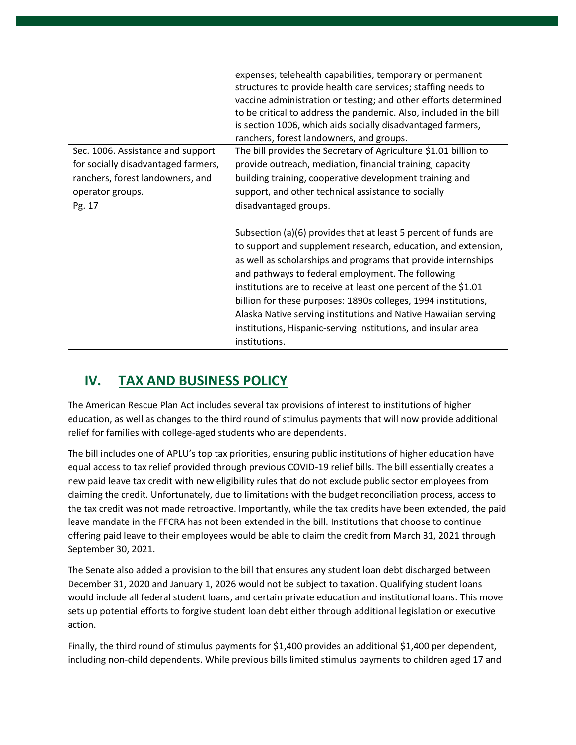|                                     | expenses; telehealth capabilities; temporary or permanent<br>structures to provide health care services; staffing needs to<br>vaccine administration or testing; and other efforts determined<br>to be critical to address the pandemic. Also, included in the bill<br>is section 1006, which aids socially disadvantaged farmers,<br>ranchers, forest landowners, and groups.                                                                                                                                                                 |
|-------------------------------------|------------------------------------------------------------------------------------------------------------------------------------------------------------------------------------------------------------------------------------------------------------------------------------------------------------------------------------------------------------------------------------------------------------------------------------------------------------------------------------------------------------------------------------------------|
| Sec. 1006. Assistance and support   | The bill provides the Secretary of Agriculture \$1.01 billion to                                                                                                                                                                                                                                                                                                                                                                                                                                                                               |
| for socially disadvantaged farmers, | provide outreach, mediation, financial training, capacity                                                                                                                                                                                                                                                                                                                                                                                                                                                                                      |
| ranchers, forest landowners, and    | building training, cooperative development training and                                                                                                                                                                                                                                                                                                                                                                                                                                                                                        |
| operator groups.                    | support, and other technical assistance to socially                                                                                                                                                                                                                                                                                                                                                                                                                                                                                            |
| Pg. 17                              | disadvantaged groups.                                                                                                                                                                                                                                                                                                                                                                                                                                                                                                                          |
|                                     | Subsection (a)(6) provides that at least 5 percent of funds are<br>to support and supplement research, education, and extension,<br>as well as scholarships and programs that provide internships<br>and pathways to federal employment. The following<br>institutions are to receive at least one percent of the \$1.01<br>billion for these purposes: 1890s colleges, 1994 institutions,<br>Alaska Native serving institutions and Native Hawaiian serving<br>institutions, Hispanic-serving institutions, and insular area<br>institutions. |

# **IV. TAX AND BUSINESS POLICY**

The American Rescue Plan Act includes several tax provisions of interest to institutions of higher education, as well as changes to the third round of stimulus payments that will now provide additional relief for families with college-aged students who are dependents.

The bill includes one of APLU's top tax priorities, ensuring public institutions of higher education have equal access to tax relief provided through previous COVID-19 relief bills. The bill essentially creates a new paid leave tax credit with new eligibility rules that do not exclude public sector employees from claiming the credit. Unfortunately, due to limitations with the budget reconciliation process, access to the tax credit was not made retroactive. Importantly, while the tax credits have been extended, the paid leave mandate in the FFCRA has not been extended in the bill. Institutions that choose to continue offering paid leave to their employees would be able to claim the credit from March 31, 2021 through September 30, 2021.

The Senate also added a provision to the bill that ensures any student loan debt discharged between December 31, 2020 and January 1, 2026 would not be subject to taxation. Qualifying student loans would include all federal student loans, and certain private education and institutional loans. This move sets up potential efforts to forgive student loan debt either through additional legislation or executive action.

Finally, the third round of stimulus payments for \$1,400 provides an additional \$1,400 per dependent, including non-child dependents. While previous bills limited stimulus payments to children aged 17 and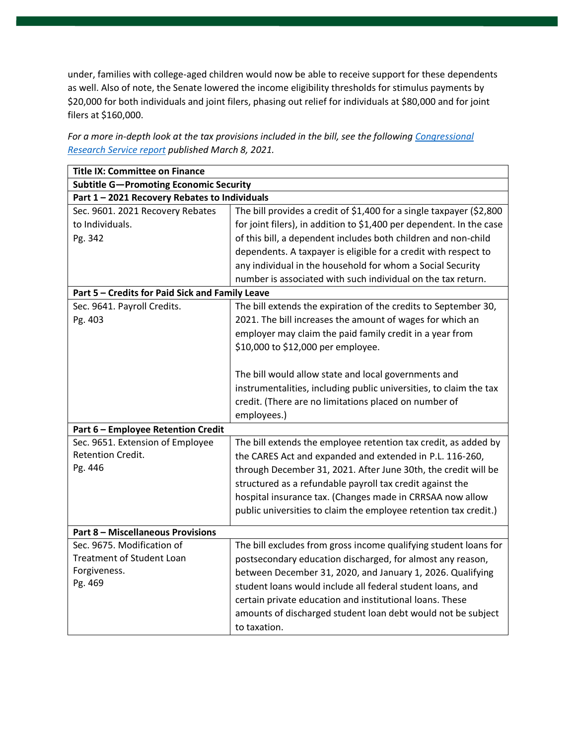under, families with college-aged children would now be able to receive support for these dependents as well. Also of note, the Senate lowered the income eligibility thresholds for stimulus payments by \$20,000 for both individuals and joint filers, phasing out relief for individuals at \$80,000 and for joint filers at \$160,000.

| <b>Title IX: Committee on Finance</b>           |                                                                      |
|-------------------------------------------------|----------------------------------------------------------------------|
| <b>Subtitle G-Promoting Economic Security</b>   |                                                                      |
| Part 1 - 2021 Recovery Rebates to Individuals   |                                                                      |
| Sec. 9601. 2021 Recovery Rebates                | The bill provides a credit of \$1,400 for a single taxpayer (\$2,800 |
| to Individuals.                                 | for joint filers), in addition to \$1,400 per dependent. In the case |
| Pg. 342                                         | of this bill, a dependent includes both children and non-child       |
|                                                 | dependents. A taxpayer is eligible for a credit with respect to      |
|                                                 | any individual in the household for whom a Social Security           |
|                                                 | number is associated with such individual on the tax return.         |
| Part 5 - Credits for Paid Sick and Family Leave |                                                                      |
| Sec. 9641. Payroll Credits.                     | The bill extends the expiration of the credits to September 30,      |
| Pg. 403                                         | 2021. The bill increases the amount of wages for which an            |
|                                                 | employer may claim the paid family credit in a year from             |
|                                                 | \$10,000 to \$12,000 per employee.                                   |
|                                                 |                                                                      |
|                                                 | The bill would allow state and local governments and                 |
|                                                 | instrumentalities, including public universities, to claim the tax   |
|                                                 | credit. (There are no limitations placed on number of                |
|                                                 | employees.)                                                          |
| Part 6 - Employee Retention Credit              |                                                                      |
| Sec. 9651. Extension of Employee                | The bill extends the employee retention tax credit, as added by      |
| Retention Credit.                               | the CARES Act and expanded and extended in P.L. 116-260,             |
| Pg. 446                                         | through December 31, 2021. After June 30th, the credit will be       |
|                                                 | structured as a refundable payroll tax credit against the            |
|                                                 | hospital insurance tax. (Changes made in CRRSAA now allow            |
|                                                 | public universities to claim the employee retention tax credit.)     |
|                                                 |                                                                      |
| <b>Part 8 - Miscellaneous Provisions</b>        |                                                                      |
| Sec. 9675. Modification of                      | The bill excludes from gross income qualifying student loans for     |
| <b>Treatment of Student Loan</b>                | postsecondary education discharged, for almost any reason,           |
| Forgiveness.                                    | between December 31, 2020, and January 1, 2026. Qualifying           |
| Pg. 469                                         | student loans would include all federal student loans, and           |
|                                                 | certain private education and institutional loans. These             |
|                                                 | amounts of discharged student loan debt would not be subject         |
|                                                 | to taxation.                                                         |

*For a more in-depth look at the tax provisions included in the bill, see the following [Congressional](https://crsreports.congress.gov/product/pdf/R/R46680)  [Research Service report](https://crsreports.congress.gov/product/pdf/R/R46680) published March 8, 2021.*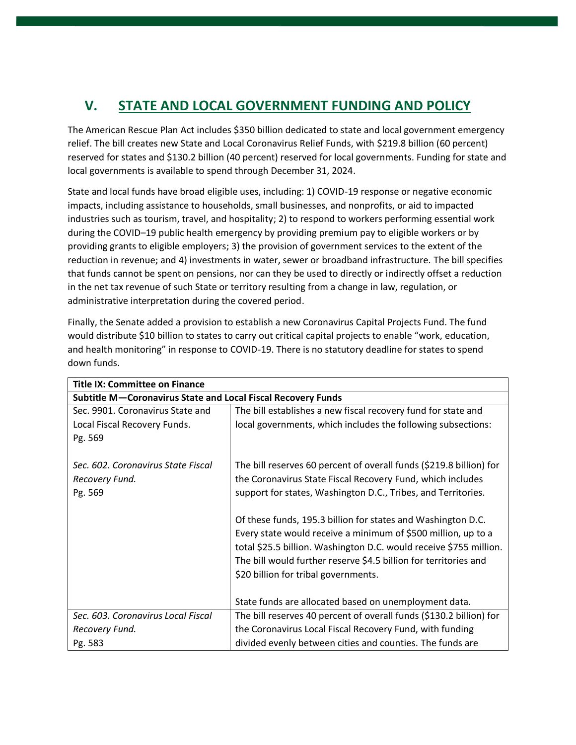# **V. STATE AND LOCAL GOVERNMENT FUNDING AND POLICY**

The American Rescue Plan Act includes \$350 billion dedicated to state and local government emergency relief. The bill creates new State and Local Coronavirus Relief Funds, with \$219.8 billion (60 percent) reserved for states and \$130.2 billion (40 percent) reserved for local governments. Funding for state and local governments is available to spend through December 31, 2024.

State and local funds have broad eligible uses, including: 1) COVID-19 response or negative economic impacts, including assistance to households, small businesses, and nonprofits, or aid to impacted industries such as tourism, travel, and hospitality; 2) to respond to workers performing essential work during the COVID–19 public health emergency by providing premium pay to eligible workers or by providing grants to eligible employers; 3) the provision of government services to the extent of the reduction in revenue; and 4) investments in water, sewer or broadband infrastructure. The bill specifies that funds cannot be spent on pensions, nor can they be used to directly or indirectly offset a reduction in the net tax revenue of such State or territory resulting from a change in law, regulation, or administrative interpretation during the covered period.

Finally, the Senate added a provision to establish a new Coronavirus Capital Projects Fund. The fund would distribute \$10 billion to states to carry out critical capital projects to enable "work, education, and health monitoring" in response to COVID-19. There is no statutory deadline for states to spend down funds.

| <b>Title IX: Committee on Finance</b>                        |                                                                     |
|--------------------------------------------------------------|---------------------------------------------------------------------|
| Subtitle M-Coronavirus State and Local Fiscal Recovery Funds |                                                                     |
| Sec. 9901. Coronavirus State and                             | The bill establishes a new fiscal recovery fund for state and       |
| Local Fiscal Recovery Funds.                                 | local governments, which includes the following subsections:        |
| Pg. 569                                                      |                                                                     |
|                                                              |                                                                     |
| Sec. 602. Coronavirus State Fiscal                           | The bill reserves 60 percent of overall funds (\$219.8 billion) for |
| Recovery Fund.                                               | the Coronavirus State Fiscal Recovery Fund, which includes          |
| Pg. 569                                                      | support for states, Washington D.C., Tribes, and Territories.       |
|                                                              |                                                                     |
|                                                              | Of these funds, 195.3 billion for states and Washington D.C.        |
|                                                              | Every state would receive a minimum of \$500 million, up to a       |
|                                                              | total \$25.5 billion. Washington D.C. would receive \$755 million.  |
|                                                              | The bill would further reserve \$4.5 billion for territories and    |
|                                                              | \$20 billion for tribal governments.                                |
|                                                              |                                                                     |
|                                                              | State funds are allocated based on unemployment data.               |
| Sec. 603. Coronavirus Local Fiscal                           | The bill reserves 40 percent of overall funds (\$130.2 billion) for |
| Recovery Fund.                                               | the Coronavirus Local Fiscal Recovery Fund, with funding            |
| Pg. 583                                                      | divided evenly between cities and counties. The funds are           |